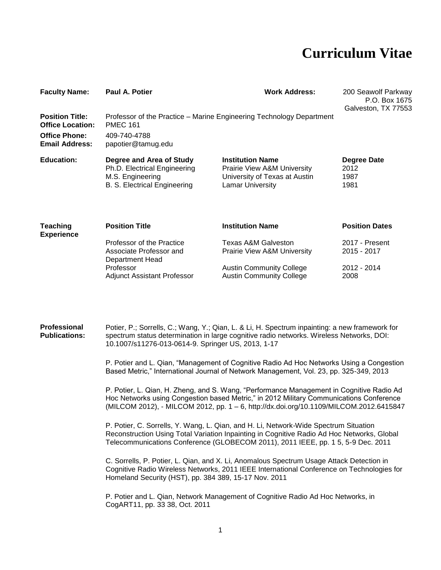# **Curriculum Vitae**

| <b>Faculty Name:</b>                              | Paul A. Potier                                                                                                      | <b>Work Address:</b>                                                                                                   | 200 Seawolf Parkway<br>P.O. Box 1675<br>Galveston, TX 77553 |
|---------------------------------------------------|---------------------------------------------------------------------------------------------------------------------|------------------------------------------------------------------------------------------------------------------------|-------------------------------------------------------------|
| <b>Position Title:</b><br><b>Office Location:</b> | Professor of the Practice – Marine Engineering Technology Department<br><b>PMEC 161</b>                             |                                                                                                                        |                                                             |
| <b>Office Phone:</b><br><b>Email Address:</b>     | 409-740-4788<br>papotier@tamug.edu                                                                                  |                                                                                                                        |                                                             |
| <b>Education:</b>                                 | Degree and Area of Study<br>Ph.D. Electrical Engineering<br>M.S. Engineering<br><b>B. S. Electrical Engineering</b> | <b>Institution Name</b><br><b>Prairie View A&amp;M University</b><br>University of Texas at Austin<br>Lamar University | Degree Date<br>2012<br>1987<br>1981                         |
| <b>Teaching</b>                                   | <b>Position Title</b>                                                                                               | <b>Institution Name</b>                                                                                                | <b>Position Dates</b>                                       |

| <b>Experience</b> |                                    |                                        |                |
|-------------------|------------------------------------|----------------------------------------|----------------|
|                   | Professor of the Practice          | Texas A&M Galveston                    | 2017 - Present |
|                   | Associate Professor and            | <b>Prairie View A&amp;M University</b> | 2015 - 2017    |
|                   | Department Head                    |                                        |                |
|                   | Professor                          | <b>Austin Community College</b>        | 2012 - 2014    |
|                   | <b>Adjunct Assistant Professor</b> | <b>Austin Community College</b>        | 2008           |

**Professional Publications:** Potier, P.; Sorrells, C.; Wang, Y.; Qian, L. & Li, H. Spectrum inpainting: a new framework for spectrum status determination in large cognitive radio networks. Wireless Networks, DOI: 10.1007/s11276-013-0614-9. Springer US, 2013, 1-17

> P. Potier and L. Qian, "Management of Cognitive Radio Ad Hoc Networks Using a Congestion Based Metric," International Journal of Network Management, Vol. 23, pp. 325-349, 2013

> P. Potier, L. Qian, H. Zheng, and S. Wang, "Performance Management in Cognitive Radio Ad Hoc Networks using Congestion based Metric," in 2012 Military Communications Conference (MILCOM 2012), - MILCOM 2012, pp. 1 – 6, http://dx.doi.org/10.1109/MILCOM.2012.6415847

P. Potier, C. Sorrells, Y. Wang, L. Qian, and H. Li, Network-Wide Spectrum Situation Reconstruction Using Total Variation Inpainting in Cognitive Radio Ad Hoc Networks, Global Telecommunications Conference (GLOBECOM 2011), 2011 IEEE, pp. 1 5, 5-9 Dec. 2011

C. Sorrells, P. Potier, L. Qian, and X. Li, Anomalous Spectrum Usage Attack Detection in Cognitive Radio Wireless Networks, 2011 IEEE International Conference on Technologies for Homeland Security (HST), pp. 384 389, 15-17 Nov. 2011

P. Potier and L. Qian, Network Management of Cognitive Radio Ad Hoc Networks, in CogART11, pp. 33 38, Oct. 2011